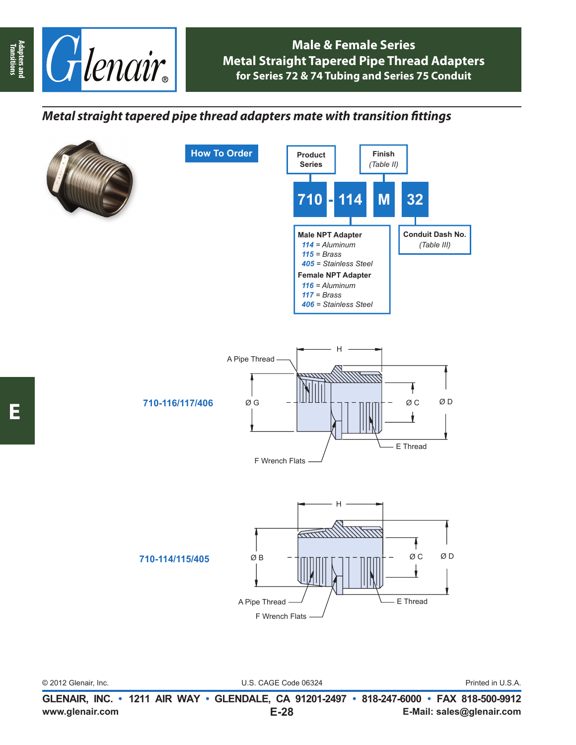

## **Male & Female Series Metal Straight Tapered Pipe Thread Adapters for Series 72 & 74 Tubing and Series 75 Conduit**

## *Metal straight tapered pipe thread adapters mate with transition fi ttings*



**E**

© 2012 Glenair, Inc. U.S. CAGE Code 06324 Printed in U.S.A.

www.glenair.com E-28 E-Mail: sales@glenair.com **GLENAIR, INC. • 1211 AIR WAY • GLENDALE, CA 91201-2497 • 818-247-6000 • FAX 818-500-9912 E-28**